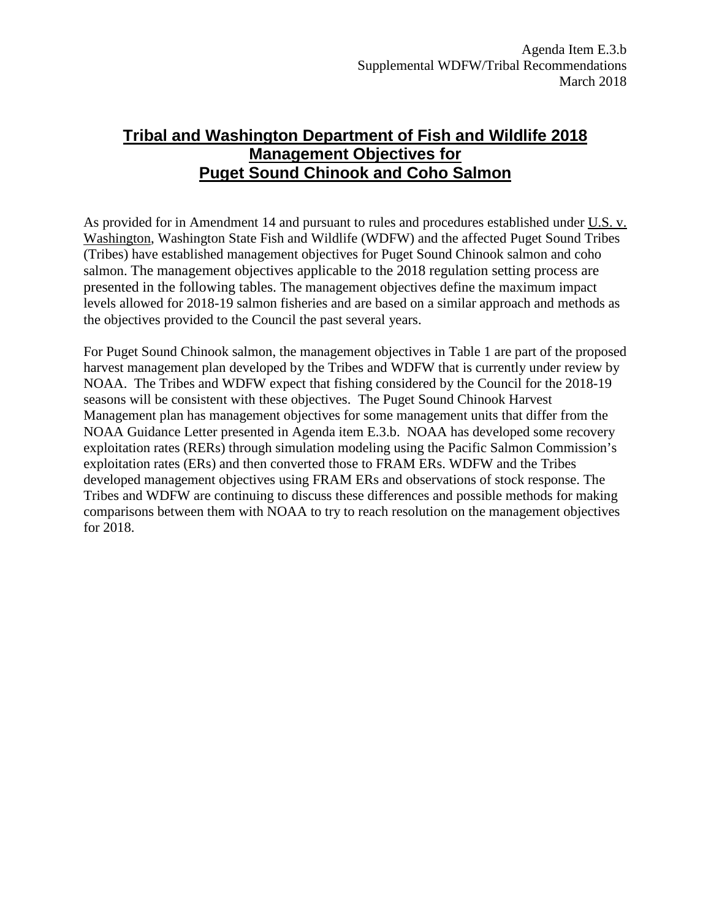## **Tribal and Washington Department of Fish and Wildlife 2018 Management Objectives for Puget Sound Chinook and Coho Salmon**

As provided for in Amendment 14 and pursuant to rules and procedures established under U.S. v. Washington, Washington State Fish and Wildlife (WDFW) and the affected Puget Sound Tribes (Tribes) have established management objectives for Puget Sound Chinook salmon and coho salmon. The management objectives applicable to the 2018 regulation setting process are presented in the following tables. The management objectives define the maximum impact levels allowed for 2018-19 salmon fisheries and are based on a similar approach and methods as the objectives provided to the Council the past several years.

For Puget Sound Chinook salmon, the management objectives in Table 1 are part of the proposed harvest management plan developed by the Tribes and WDFW that is currently under review by NOAA. The Tribes and WDFW expect that fishing considered by the Council for the 2018-19 seasons will be consistent with these objectives. The Puget Sound Chinook Harvest Management plan has management objectives for some management units that differ from the NOAA Guidance Letter presented in Agenda item E.3.b. NOAA has developed some recovery exploitation rates (RERs) through simulation modeling using the Pacific Salmon Commission's exploitation rates (ERs) and then converted those to FRAM ERs. WDFW and the Tribes developed management objectives using FRAM ERs and observations of stock response. The Tribes and WDFW are continuing to discuss these differences and possible methods for making comparisons between them with NOAA to try to reach resolution on the management objectives for 2018.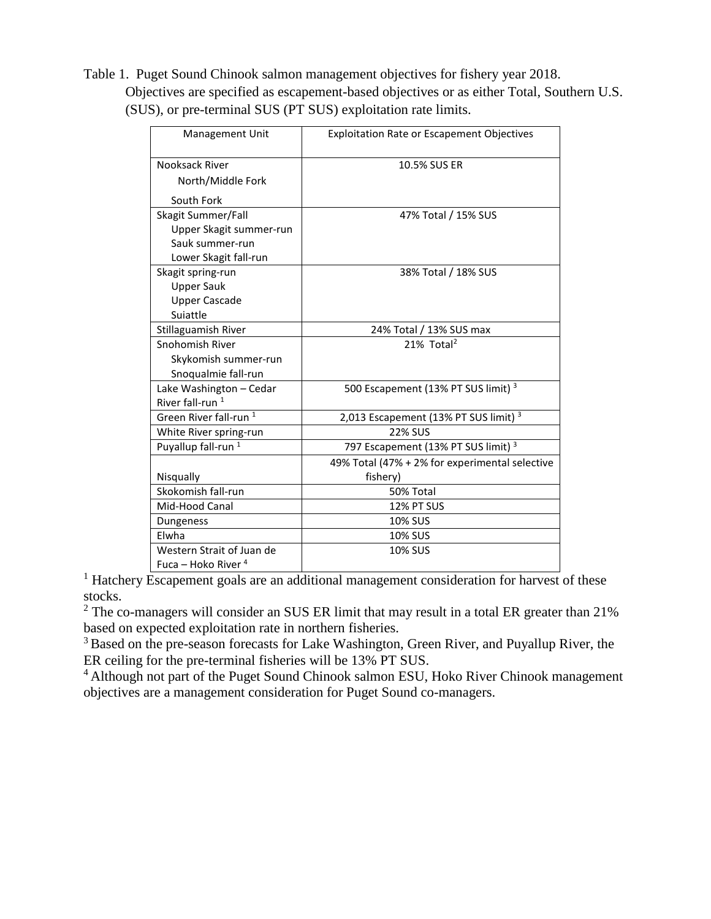Table 1. Puget Sound Chinook salmon management objectives for fishery year 2018. Objectives are specified as escapement-based objectives or as either Total, Southern U.S. (SUS), or pre-terminal SUS (PT SUS) exploitation rate limits.

| Management Unit                   | <b>Exploitation Rate or Escapement Objectives</b> |  |  |
|-----------------------------------|---------------------------------------------------|--|--|
| Nooksack River                    | 10.5% SUS ER                                      |  |  |
| North/Middle Fork                 |                                                   |  |  |
| South Fork                        |                                                   |  |  |
| Skagit Summer/Fall                | 47% Total / 15% SUS                               |  |  |
| Upper Skagit summer-run           |                                                   |  |  |
| Sauk summer-run                   |                                                   |  |  |
| Lower Skagit fall-run             |                                                   |  |  |
| Skagit spring-run                 | 38% Total / 18% SUS                               |  |  |
| <b>Upper Sauk</b>                 |                                                   |  |  |
| <b>Upper Cascade</b>              |                                                   |  |  |
| Suiattle                          |                                                   |  |  |
| Stillaguamish River               | 24% Total / 13% SUS max                           |  |  |
| Snohomish River                   | 21% Total <sup>2</sup>                            |  |  |
| Skykomish summer-run              |                                                   |  |  |
| Snoqualmie fall-run               |                                                   |  |  |
| Lake Washington - Cedar           | 500 Escapement (13% PT SUS limit) <sup>3</sup>    |  |  |
| River fall-run <sup>1</sup>       |                                                   |  |  |
| Green River fall-run <sup>1</sup> | 2,013 Escapement (13% PT SUS limit) <sup>3</sup>  |  |  |
| White River spring-run            | <b>22% SUS</b>                                    |  |  |
| Puyallup fall-run <sup>1</sup>    | 797 Escapement (13% PT SUS limit) <sup>3</sup>    |  |  |
|                                   | 49% Total (47% + 2% for experimental selective    |  |  |
| Nisqually                         | fishery)                                          |  |  |
| Skokomish fall-run                | 50% Total                                         |  |  |
| Mid-Hood Canal                    | 12% PT SUS                                        |  |  |
| Dungeness                         | <b>10% SUS</b>                                    |  |  |
| Elwha                             | <b>10% SUS</b>                                    |  |  |
| Western Strait of Juan de         | <b>10% SUS</b>                                    |  |  |
| Fuca – Hoko River <sup>4</sup>    |                                                   |  |  |

<sup>1</sup> Hatchery Escapement goals are an additional management consideration for harvest of these stocks.

 $2$  The co-managers will consider an SUS ER limit that may result in a total ER greater than 21% based on expected exploitation rate in northern fisheries.

<sup>3</sup> Based on the pre-season forecasts for Lake Washington, Green River, and Puyallup River, the ER ceiling for the pre-terminal fisheries will be 13% PT SUS.

<sup>4</sup> Although not part of the Puget Sound Chinook salmon ESU, Hoko River Chinook management objectives are a management consideration for Puget Sound co-managers.